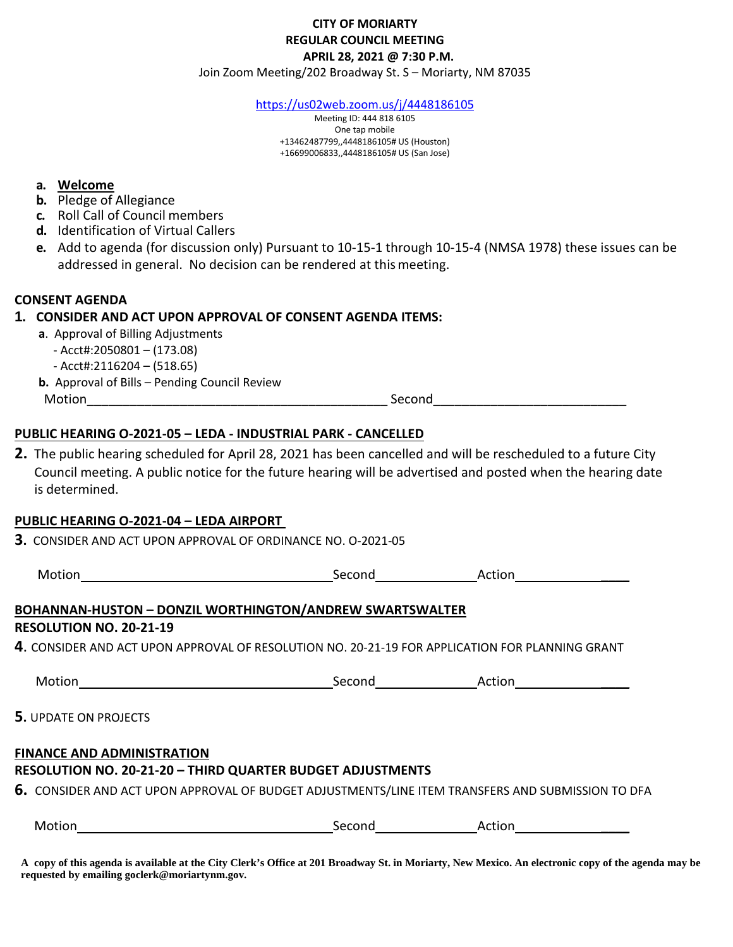# **CITY OF MORIARTY REGULAR COUNCIL MEETING APRIL 28, 2021 @ 7:30 P.M.**

Join Zoom Meeting/202 Broadway St. S – Moriarty, NM 87035

<https://us02web.zoom.us/j/4448186105>

Meeting ID: 444 818 6105 One tap mobile +13462487799,,4448186105# US (Houston) +16699006833,,4448186105# US (San Jose)

#### **a. Welcome**

- **b.** Pledge of Allegiance
- **c.** Roll Call of Council members
- **d.** Identification of Virtual Callers
- **e.** Add to agenda (for discussion only) Pursuant to 10-15-1 through 10-15-4 (NMSA 1978) these issues can be addressed in general. No decision can be rendered at thismeeting.

#### **CONSENT AGENDA**

### **1. CONSIDER AND ACT UPON APPROVAL OF CONSENT AGENDA ITEMS:**

- **a**. Approval of Billing Adjustments
	- Acct#:2050801 (173.08)
	- Acct#:2116204 (518.65)
- **b.** Approval of Bills Pending Council Review
	-

Motion\_\_\_\_\_\_\_\_\_\_\_\_\_\_\_\_\_\_\_\_\_\_\_\_\_\_\_\_\_\_\_\_\_\_\_\_\_\_\_\_\_\_ Second\_\_\_\_\_\_\_\_\_\_\_\_\_\_\_\_\_\_\_\_\_\_\_\_\_\_\_

## **PUBLIC HEARING O-2021-05 – LEDA - INDUSTRIAL PARK - CANCELLED**

**2.** The public hearing scheduled for April 28, 2021 has been cancelled and will be rescheduled to a future City Council meeting. A public notice for the future hearing will be advertised and posted when the hearing date is determined.

#### **PUBLIC HEARING O-2021-04 – LEDA AIRPORT**

**3.** CONSIDER AND ACT UPON APPROVAL OF ORDINANCE NO. O-2021-05

| Motion                         | Second                                                                                                         | Action |
|--------------------------------|----------------------------------------------------------------------------------------------------------------|--------|
|                                | BOHANNAN-HUSTON – DONZIL WORTHINGTON/ANDREW SWARTSWALTER                                                       |        |
| <b>RESOLUTION NO. 20-21-19</b> |                                                                                                                |        |
|                                | $\boldsymbol{4}.$ CONSIDER AND ACT UPON APPROVAL OF RESOLUTION NO. 20-21-19 FOR APPLICATION FOR PLANNING GRANT |        |
| <b>Motion</b>                  | Second                                                                                                         | Action |

## **5.** UPDATE ON PROJECTS

#### **FINANCE AND ADMINISTRATION**

## **RESOLUTION NO. 20-21-20 – THIRD QUARTER BUDGET ADJUSTMENTS**

**6.** CONSIDER AND ACT UPON APPROVAL OF BUDGET ADJUSTMENTS/LINE ITEM TRANSFERS AND SUBMISSION TO DFA

| w<br>______ | . |  |
|-------------|---|--|
|             |   |  |

**A copy of this agenda is available at the City Clerk's Office at 201 Broadway St. in Moriarty, New Mexico. An electronic copy of the agenda may be requested by emailing goclerk@moriartynm.gov.**